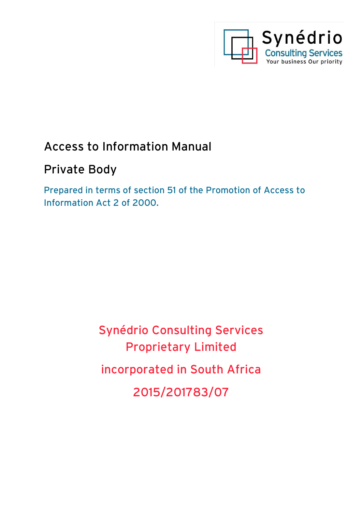

# Access to Information Manual

# Private Body

Prepared in terms of section 51 of the Promotion of Access to Information Act 2 of 2000.

> Synédrio Consulting Services Proprietary Limited incorporated in South Africa 2015/201783/07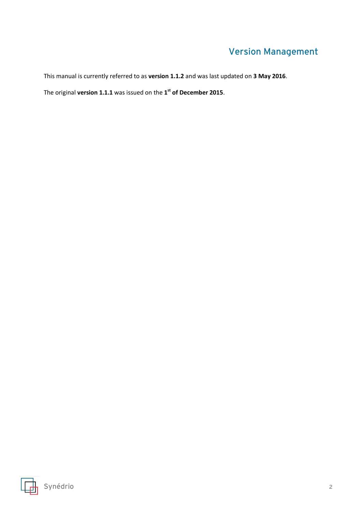# Version Management

This manual is currently referred to as **version 1.1.2** and was last updated on **3 May 2016**.

The original **version 1.1.1** was issued on the **1 st of December 2015**.

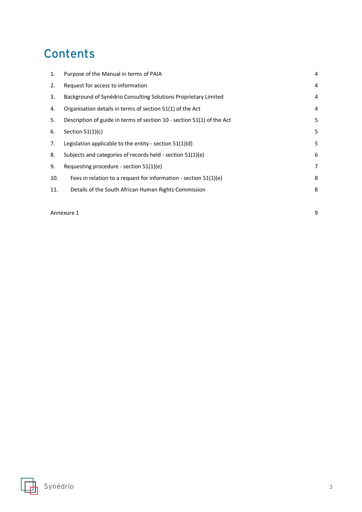# **Contents**

| 1.  | Purpose of the Manual in terms of PAIA                                 | 4              |
|-----|------------------------------------------------------------------------|----------------|
| 2.  | Request for access to information                                      | 4              |
| 3.  | Background of Synédrio Consulting Solutions Proprietary Limited        | $\overline{4}$ |
| 4.  | Organisation details in terms of section 51(1) of the Act              | 4              |
| 5.  | Description of guide in terms of section 10 - section 51(1) of the Act | 5              |
| 6.  | Section $51(1)(c)$                                                     | 5              |
| 7.  | Legislation applicable to the entity - section $51(1)(d)$              | 5              |
| 8.  | Subjects and categories of records held - section 51(1)(e)             | 6              |
| 9.  | Requesting procedure - section $51(1)(e)$                              | 7              |
| 10. | Fees in relation to a request for information - section 51(1)(e)       | 8              |
| 11. | Details of the South African Human Rights Commission                   | 8              |
|     |                                                                        |                |

[Annexure 1](#page-8-0) 9



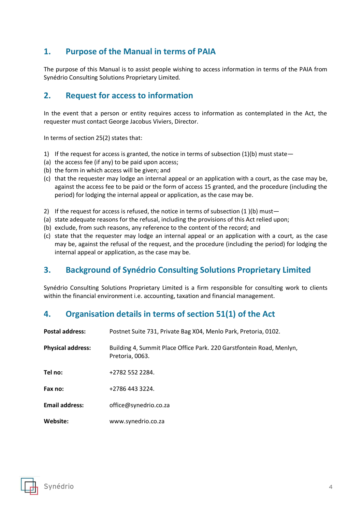# <span id="page-3-0"></span>**1. Purpose of the Manual in terms of PAIA**

The purpose of this Manual is to assist people wishing to access information in terms of the PAIA from Synédrio Consulting Solutions Proprietary Limited.

# <span id="page-3-1"></span>**2. Request for access to information**

In the event that a person or entity requires access to information as contemplated in the Act, the requester must contact George Jacobus Viviers, Director.

In terms of section 25(2) states that:

- 1) If the request for access is granted, the notice in terms of subsection  $(1)(b)$  must state -
- (a) the access fee (if any) to be paid upon access;
- (b) the form in which access will be given; and
- (c) that the requester may lodge an internal appeal or an application with a court, as the case may be, against the access fee to be paid or the form of access 15 granted, and the procedure (including the period) for lodging the internal appeal or application, as the case may be.
- 2) If the request for access is refused, the notice in terms of subsection  $(1)(b)$  must-
- (a) state adequate reasons for the refusal, including the provisions of this Act relied upon;
- (b) exclude, from such reasons, any reference to the content of the record; and
- (c) state that the requester may lodge an internal appeal or an application with a court, as the case may be, against the refusal of the request, and the procedure (including the period) for lodging the internal appeal or application, as the case may be.

# <span id="page-3-2"></span>**3. Background of Synédrio Consulting Solutions Proprietary Limited**

Synédrio Consulting Solutions Proprietary Limited is a firm responsible for consulting work to clients within the financial environment i.e. accounting, taxation and financial management.

# <span id="page-3-3"></span>**4. Organisation details in terms of section 51(1) of the Act**

| <b>Postal address:</b>   | Postnet Suite 731, Private Bag X04, Menlo Park, Pretoria, 0102.                         |
|--------------------------|-----------------------------------------------------------------------------------------|
| <b>Physical address:</b> | Building 4, Summit Place Office Park. 220 Garstfontein Road, Menlyn,<br>Pretoria, 0063. |
| Tel no:                  | +2782 552 2284.                                                                         |
| Fax no:                  | +2786 443 3224.                                                                         |
| <b>Email address:</b>    | office@synedrio.co.za                                                                   |
| Website:                 | www.synedrio.co.za                                                                      |

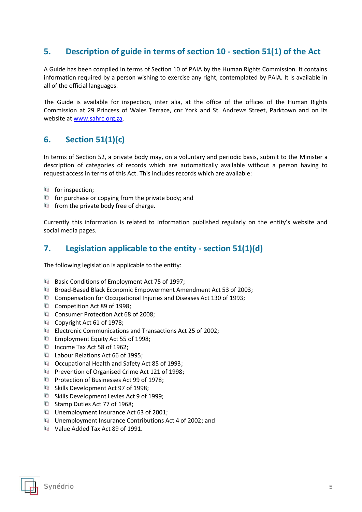# <span id="page-4-0"></span>**5. Description of guide in terms of section 10 - section 51(1) of the Act**

A Guide has been compiled in terms of Section 10 of PAIA by the Human Rights Commission. It contains information required by a person wishing to exercise any right, contemplated by PAIA. It is available in all of the official languages.

The Guide is available for inspection, inter alia, at the office of the offices of the Human Rights Commission at 29 Princess of Wales Terrace, cnr York and St. Andrews Street, Parktown and on its website at [www.sahrc.org.za.](http://www.sahrc.org.za/)

# <span id="page-4-1"></span>**6. Section 51(1)(c)**

In terms of Section 52, a private body may, on a voluntary and periodic basis, submit to the Minister a description of categories of records which are automatically available without a person having to request access in terms of this Act. This includes records which are available:

- for inspection;
- $\Box$  for purchase or copying from the private body; and
- $\Box$  from the private body free of charge.

Currently this information is related to information published regularly on the entity's website and social media pages.

# <span id="page-4-2"></span>**7. Legislation applicable to the entity - section 51(1)(d)**

The following legislation is applicable to the entity:

- Basic Conditions of Employment Act 75 of 1997;
- **B** Broad-Based Black Economic Empowerment Amendment Act 53 of 2003;
- Compensation for Occupational Injuries and Diseases Act 130 of 1993;
- Competition Act 89 of 1998;
- Consumer Protection Act 68 of 2008;
- $\Box$  Copyright Act 61 of 1978;
- Electronic Communications and Transactions Act 25 of 2002;
- **Employment Equity Act 55 of 1998:**
- $\Box$  Income Tax Act 58 of 1962;
- **Labour Relations Act 66 of 1995;**
- **a** Occupational Health and Safety Act 85 of 1993;
- **Prevention of Organised Crime Act 121 of 1998;**
- Protection of Businesses Act 99 of 1978;
- **B** Skills Development Act 97 of 1998;
- **G** Skills Development Levies Act 9 of 1999;
- G Stamp Duties Act 77 of 1968:
- **Unemployment Insurance Act 63 of 2001;**
- $\nabla$  Unemployment Insurance Contributions Act 4 of 2002; and
- Value Added Tax Act 89 of 1991.

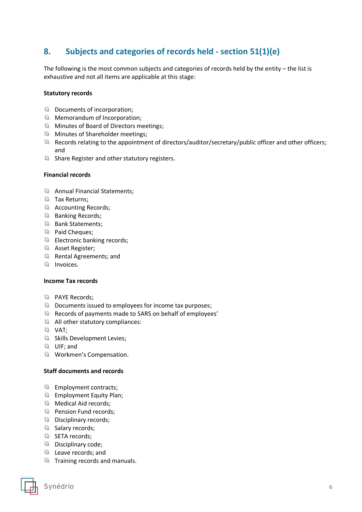# <span id="page-5-0"></span>**8. Subjects and categories of records held - section 51(1)(e)**

The following is the most common subjects and categories of records held by the entity – the list is exhaustive and not all items are applicable at this stage:

#### **Statutory records**

- **Documents of incorporation;**
- **Memorandum of Incorporation;**
- **Minutes of Board of Directors meetings;**
- **Minutes of Shareholder meetings;**
- Records relating to the appointment of directors/auditor/secretary/public officer and other officers; and
- **E** Share Register and other statutory registers.

#### **Financial records**

- Annual Financial Statements:
- **Tax Returns;**
- Accounting Records;
- $\Box$  Banking Records;
- Bank Statements;
- <sup>4</sup> Paid Cheques;
- **Electronic banking records;**
- Asset Register;
- Rental Agreements; and
- **Invoices.**

#### **Income Tax records**

- **D** PAYE Records:
- $\nabla$  Documents issued to employees for income tax purposes;
- Records of payments made to SARS on behalf of employees'
- All other statutory compliances:
- VAT;
- **B** Skills Development Levies;
- **La** UIF; and
- **Workmen's Compensation.**

#### **Staff documents and records**

- $\Box$  Employment contracts;
- **Employment Equity Plan;**
- **Medical Aid records;**
- **Pension Fund records;**
- Disciplinary records;
- **B** Salary records;
- **B** SETA records;
- Disciplinary code;
- **Leave records; and**
- $\Box$  Training records and manuals.

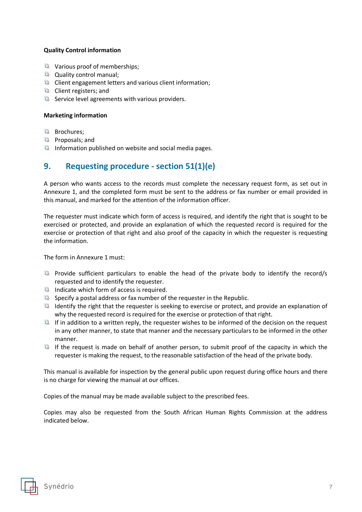#### **Quality Control information**

- Warious proof of memberships:
- **Quality control manual;**
- $\Box$  Client engagement letters and various client information;
- Client registers; and
- $\Box$  Service level agreements with various providers.

#### **Marketing information**

- **La** Brochures;
- **D** Proposals; and
- Information published on website and social media pages.

### <span id="page-6-0"></span>**9. Requesting procedure - section 51(1)(e)**

A person who wants access to the records must complete the necessary request form, as set out in Annexure 1, and the completed form must be sent to the address or fax number or email provided in this manual, and marked for the attention of the information officer.

The requester must indicate which form of access is required, and identify the right that is sought to be exercised or protected, and provide an explanation of which the requested record is required for the exercise or protection of that right and also proof of the capacity in which the requester is requesting the information.

The form in Annexure 1 must:

- **E** Provide sufficient particulars to enable the head of the private body to identify the record/s requested and to identify the requester.
- Indicate which form of access is required.
- Specify a postal address or fax number of the requester in the Republic.
- $\Box$  Identify the right that the requester is seeking to exercise or protect, and provide an explanation of why the requested record is required for the exercise or protection of that right.
- If in addition to a written reply, the requester wishes to be informed of the decision on the request in any other manner, to state that manner and the necessary particulars to be informed in the other manner.
- If the request is made on behalf of another person, to submit proof of the capacity in which the requester is making the request, to the reasonable satisfaction of the head of the private body.

This manual is available for inspection by the general public upon request during office hours and there is no charge for viewing the manual at our offices.

Copies of the manual may be made available subject to the prescribed fees.

Copies may also be requested from the South African Human Rights Commission at the address indicated below.

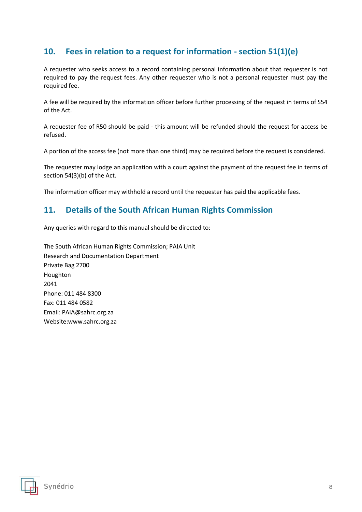# <span id="page-7-0"></span>**10. Fees in relation to a request for information - section 51(1)(e)**

A requester who seeks access to a record containing personal information about that requester is not required to pay the request fees. Any other requester who is not a personal requester must pay the required fee.

A fee will be required by the information officer before further processing of the request in terms of S54 of the Act.

A requester fee of R50 should be paid - this amount will be refunded should the request for access be refused.

A portion of the access fee (not more than one third) may be required before the request is considered.

The requester may lodge an application with a court against the payment of the request fee in terms of section 54(3)(b) of the Act.

The information officer may withhold a record until the requester has paid the applicable fees.

# <span id="page-7-1"></span>**11. Details of the South African Human Rights Commission**

Any queries with regard to this manual should be directed to:

The South African Human Rights Commission; PAIA Unit Research and Documentation Department Private Bag 2700 Houghton 2041 Phone: 011 484 8300 Fax: 011 484 0582 Email: PAIA@sahrc.org.za Website:www.sahrc.org.za

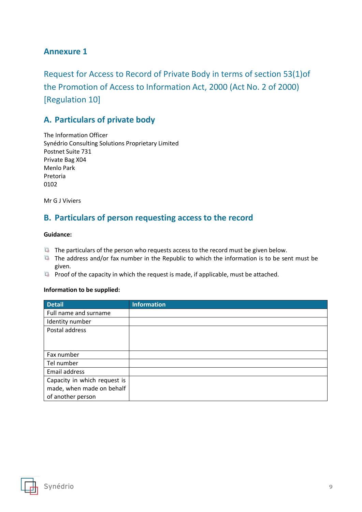# <span id="page-8-0"></span>**Annexure 1**

Request for Access to Record of Private Body in terms of section 53(1)of the Promotion of Access to Information Act, 2000 (Act No. 2 of 2000) [Regulation 10]

# **A. Particulars of private body**

The Information Officer Synédrio Consulting Solutions Proprietary Limited Postnet Suite 731 Private Bag X04 Menlo Park Pretoria 0102

Mr G J Viviers

### **B. Particulars of person requesting access to the record**

#### **Guidance:**

- $\Box$  The particulars of the person who requests access to the record must be given below.
- $\Box$  The address and/or fax number in the Republic to which the information is to be sent must be given.
- **Proof of the capacity in which the request is made, if applicable, must be attached.**

#### **Information to be supplied:**

| <b>Detail</b>                | <b>Information</b> |
|------------------------------|--------------------|
| Full name and surname        |                    |
| Identity number              |                    |
| Postal address               |                    |
|                              |                    |
|                              |                    |
| Fax number                   |                    |
| Tel number                   |                    |
| Email address                |                    |
| Capacity in which request is |                    |
| made, when made on behalf    |                    |
| of another person            |                    |

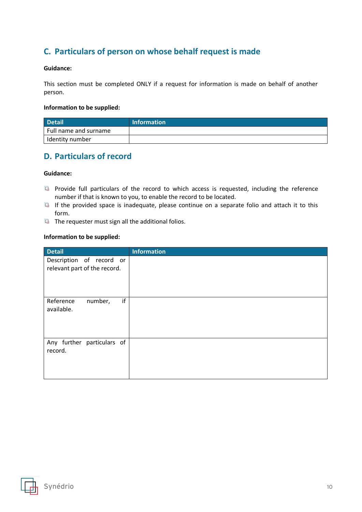# **C. Particulars of person on whose behalf request is made**

#### **Guidance:**

This section must be completed ONLY if a request for information is made on behalf of another person.

#### **Information to be supplied:**

| Detail                | <b>Information</b> |
|-----------------------|--------------------|
| Full name and surname |                    |
| Identity number       |                    |

### **D. Particulars of record**

#### **Guidance:**

- **Pa** Provide full particulars of the record to which access is requested, including the reference number if that is known to you, to enable the record to be located.
- If the provided space is inadequate, please continue on a separate folio and attach it to this form.
- The requester must sign all the additional folios.

#### **Information to be supplied:**

| <b>Detail</b>                                            | <b>Information</b> |
|----------------------------------------------------------|--------------------|
| Description of record or<br>relevant part of the record. |                    |
| if<br>Reference<br>number,<br>available.                 |                    |
| Any further particulars of<br>record.                    |                    |

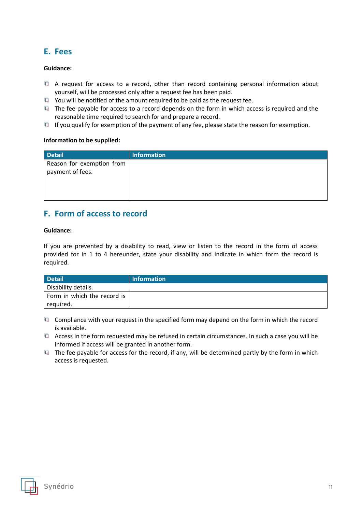## **E. Fees**

#### **Guidance:**

- A request for access to a record, other than record containing personal information about yourself, will be processed only after a request fee has been paid.
- $\Box$  You will be notified of the amount required to be paid as the request fee.
- The fee payable for access to a record depends on the form in which access is required and the reasonable time required to search for and prepare a record.
- $\Box$  If you qualify for exemption of the payment of any fee, please state the reason for exemption.

#### **Information to be supplied:**

| <b>Detail</b>             | <b>Information</b> |
|---------------------------|--------------------|
| Reason for exemption from |                    |
| payment of fees.          |                    |
|                           |                    |
|                           |                    |
|                           |                    |

### **F. Form of access to record**

#### **Guidance:**

If you are prevented by a disability to read, view or listen to the record in the form of access provided for in 1 to 4 hereunder, state your disability and indicate in which form the record is required.

| <b>Detail</b>               | <b>Information</b> |
|-----------------------------|--------------------|
| Disability details.         |                    |
| Form in which the record is |                    |
| required.                   |                    |

- $\Box$  Compliance with your request in the specified form may depend on the form in which the record is available.
- $\Box$  Access in the form requested may be refused in certain circumstances. In such a case you will be informed if access will be granted in another form.
- $\Box$  The fee payable for access for the record, if any, will be determined partly by the form in which access is requested.

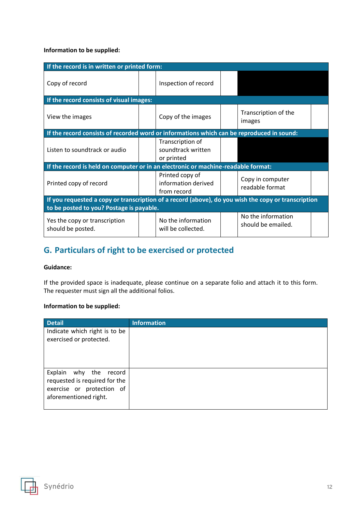#### **Information to be supplied:**

| If the record is in written or printed form:                                                        |  |                                                       |  |                                          |  |
|-----------------------------------------------------------------------------------------------------|--|-------------------------------------------------------|--|------------------------------------------|--|
| Copy of record                                                                                      |  | Inspection of record                                  |  |                                          |  |
| If the record consists of visual images:                                                            |  |                                                       |  |                                          |  |
| View the images                                                                                     |  | Copy of the images                                    |  | Transcription of the<br>images           |  |
| If the record consists of recorded word or informations which can be reproduced in sound:           |  |                                                       |  |                                          |  |
| Listen to soundtrack or audio                                                                       |  | Transcription of<br>soundtrack written<br>or printed  |  |                                          |  |
| If the record is held on computer or in an electronic or machine-readable format:                   |  |                                                       |  |                                          |  |
| Printed copy of record                                                                              |  | Printed copy of<br>information derived<br>from record |  | Copy in computer<br>readable format      |  |
| If you requested a copy or transcription of a record (above), do you wish the copy or transcription |  |                                                       |  |                                          |  |
| to be posted to you? Postage is payable.                                                            |  |                                                       |  |                                          |  |
| Yes the copy or transcription<br>should be posted.                                                  |  | No the information<br>will be collected.              |  | No the information<br>should be emailed. |  |

# **G. Particulars of right to be exercised or protected**

#### **Guidance:**

If the provided space is inadequate, please continue on a separate folio and attach it to this form. The requester must sign all the additional folios.

#### **Information to be supplied:**

| <b>Detail</b>                                                                                                 | <b>Information</b> |
|---------------------------------------------------------------------------------------------------------------|--------------------|
| Indicate which right is to be<br>exercised or protected.                                                      |                    |
| Explain why the record<br>requested is required for the<br>exercise or protection of<br>aforementioned right. |                    |